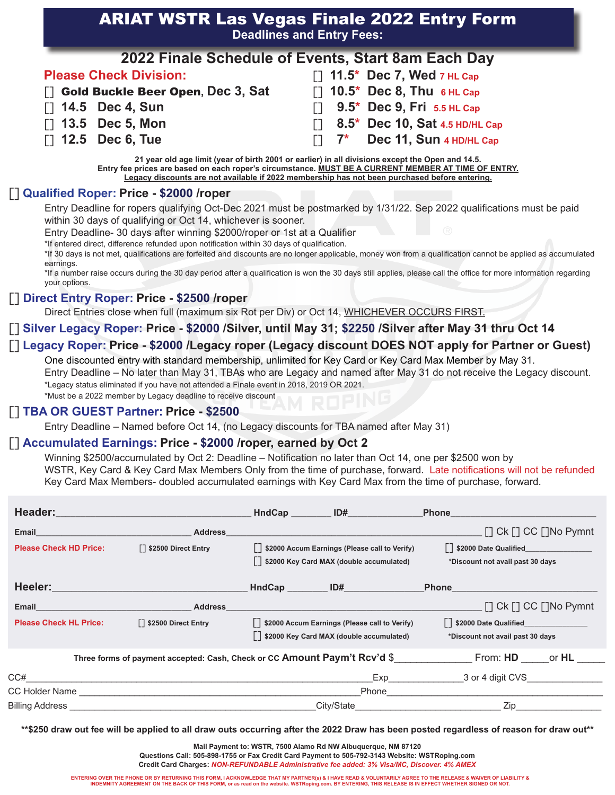# ARIAT WSTR Las Vegas Finale 2022 Entry Form **Deadlines and Entry Fees:**

|                                      | 2022 Finale Schedule of Events, Start 8am Each Day |
|--------------------------------------|----------------------------------------------------|
| <b>Please Check Division:</b>        | $\lceil$ 11.5* Dec 7, Wed 7 HL Cap                 |
| [] Gold Buckle Beer Open, Dec 3, Sat | $\lceil$ 10.5* Dec 8, Thu 6 HL Cap                 |
| <b>T1 14.5 Dec 4, Sun</b>            | $\Box$ 9.5* Dec 9, Fri 5.5 HL Cap                  |
| $\Box$ 13.5 Dec 5, Mon               | [7] 8.5* Dec 10, Sat 4.5 HD/HL Cap                 |
| $\Box$ 12.5 Dec 6, Tue               | $\Box$ 7* Dec 11, Sun 4 HD/HL Cap                  |

**21 year old age limit (year of birth 2001 or earlier) in all divisions except the Open and 14.5. Entry fee prices are based on each roper's circumstance. MUST BE A CURRENT MEMBER AT TIME OF ENTRY. Legacy discounts are not available if 2022 membership has not been purchased before entering.**

## [] **Qualified Roper: Price - \$2000 /roper**

Entry Deadline for ropers qualifying Oct-Dec 2021 must be postmarked by 1/31/22. Sep 2022 qualifications must be paid within 30 days of qualifying or Oct 14, whichever is sooner.

Entry Deadline- 30 days after winning \$2000/roper or 1st at a Qualifier

\*If entered direct, difference refunded upon notification within 30 days of qualification.

\*If 30 days is not met, qualifications are forfeited and discounts are no longer applicable, money won from a qualification cannot be applied as accumulated earnings.

\*If a number raise occurs during the 30 day period after a qualification is won the 30 days still applies, please call the office for more information regarding your options.

### [] **Direct Entry Roper: Price - \$2500 /roper**

Direct Entries close when full (maximum six Rot per Div) or Oct 14, WHICHEVER OCCURS FIRST.

## [] **Silver Legacy Roper: Price - \$2000 /Silver, until May 31; \$2250 /Silver after May 31 thru Oct 14**

### [] **Legacy Roper: Price - \$2000 /Legacy roper (Legacy discount DOES NOT apply for Partner or Guest)**

One discounted entry with standard membership, unlimited for Key Card or Key Card Max Member by May 31.

Entry Deadline – No later than May 31, TBAs who are Legacy and named after May 31 do not receive the Legacy discount. \*Legacy status eliminated if you have not attended a Finale event in 2018, 2019 OR 2021.

\*Must be a 2022 member by Legacy deadline to receive discount

#### [] **TBA OR GUEST Partner: Price - \$2500**

Entry Deadline – Named before Oct 14, (no Legacy discounts for TBA named after May 31)

### [] **Accumulated Earnings: Price - \$2000 /roper, earned by Oct 2**

Winning \$2500/accumulated by Oct 2: Deadline – Notification no later than Oct 14, one per \$2500 won by WSTR, Key Card & Key Card Max Members Only from the time of purchase, forward. Late notifications will not be refunded Key Card Max Members- doubled accumulated earnings with Key Card Max from the time of purchase, forward.

| Header:                       |                                                                                                                | HndCap | ID#                                                                                              | <b>Phone</b>                                                                                                                                                                                                                       |
|-------------------------------|----------------------------------------------------------------------------------------------------------------|--------|--------------------------------------------------------------------------------------------------|------------------------------------------------------------------------------------------------------------------------------------------------------------------------------------------------------------------------------------|
| Email                         | <b>Address</b>                                                                                                 |        |                                                                                                  | $\Box$ Ck $\Box$ CC $\Box$ No Pymnt                                                                                                                                                                                                |
| <b>Please Check HD Price:</b> | □ \$2500 Direct Entry                                                                                          |        | [] \$2000 Accum Earnings (Please call to Verify)<br>[7] \$2000 Key Card MAX (double accumulated) | [] \$2000 Date Qualified<br>*Discount not avail past 30 days                                                                                                                                                                       |
| Heeler:                       | a sa kacamatan ing Kabupatèn Kabupatèn Kabupatèn Kabupatèn Kabupatèn Kabupatèn Kabupatèn Kabupatèn Kabupatèn K |        | HndCap ID#                                                                                       | <b>Phone Contract Contract Contract Contract Contract Contract Contract Contract Contract Contract Contract Contract Contract Contract Contract Contract Contract Contract Contract Contract Contract Contract Contract Contra</b> |
| Email                         | <b>Address</b>                                                                                                 |        |                                                                                                  | $\lceil$ Ck $\lceil$ CC $\lceil$ No Pymnt                                                                                                                                                                                          |
| <b>Please Check HL Price:</b> | □ \$2500 Direct Entry                                                                                          |        | [] \$2000 Accum Earnings (Please call to Verify)<br>[7] \$2000 Key Card MAX (double accumulated) | [] \$2000 Date Qualified________<br>*Discount not avail past 30 days                                                                                                                                                               |
|                               | Three forms of payment accepted: Cash, Check or CC Amount Paym't Rcv'd \$                                      |        |                                                                                                  | From: <b>HD</b><br>or <b>HL</b>                                                                                                                                                                                                    |
| CC#                           |                                                                                                                |        | Exp                                                                                              | 3 or 4 digit CVS                                                                                                                                                                                                                   |
|                               | CC Holder Name Name Name Service CC Holder Name Name Service CC Holder Name Name Service Communications        |        | Phone                                                                                            |                                                                                                                                                                                                                                    |
| <b>Billing Address</b>        |                                                                                                                |        | City/State                                                                                       | Zip                                                                                                                                                                                                                                |

**\*\*\$250 draw out fee will be applied to all draw outs occurring after the 2022 Draw has been posted regardless of reason for draw out\*\***

**Mail Payment to: WSTR, 7500 Alamo Rd NW Albuquerque, NM 87120**

**Questions Call: 505-898-1755 or Fax Credit Card Payment to 505-792-3143 Website: WSTRoping.com Credit Card Charges:** *NON-REFUNDABLE Administrative fee added: 3% Visa/MC, Discover. 4% AMEX*

**ENTERING OVER THE PHONE OR BY RETURNING THIS FORM, I ACKNOWLEDGE THAT MY PARTNER(s) & I HAVE READ & VOLUNTARILY AGREE TO THE RELEASE & WAIVER OF LIABILITY & INDEMNITY AGREEMENT ON THE BACK OF THIS FORM, or as read on the website. WSTRoping.com. BY ENTERING, THIS RELEASE IS IN EFFECT WHETHER SIGNED OR NOT.**